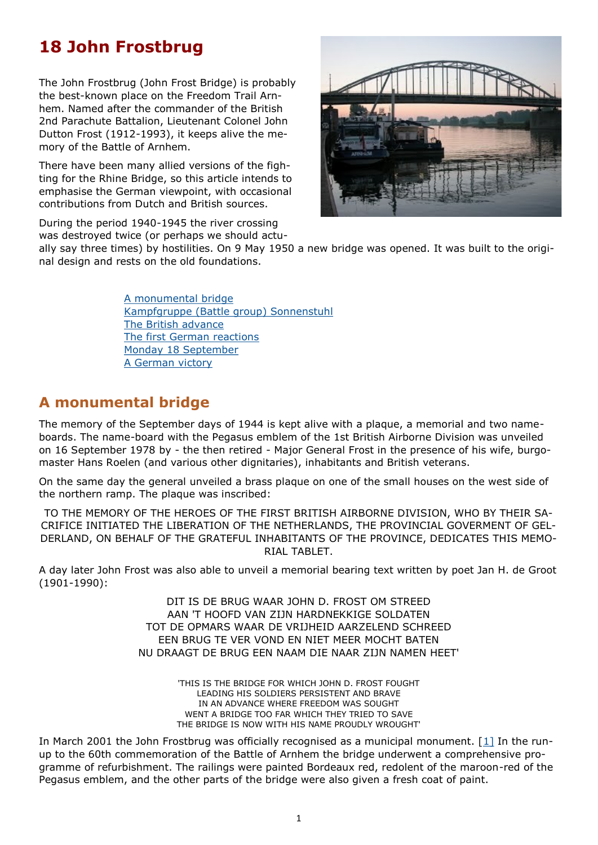# <span id="page-0-0"></span>**18 John Frostbrug**

The John Frostbrug (John Frost Bridge) is probably the best-known place on the Freedom Trail Arnhem. Named after the commander of the British 2nd Parachute Battalion, Lieutenant Colonel John Dutton Frost (1912-1993), it keeps alive the memory of the Battle of Arnhem.

There have been many allied versions of the fighting for the Rhine Bridge, so this article intends to emphasise the German viewpoint, with occasional contributions from Dutch and British sources.

During the period 1940-1945 the river crossing was destroyed twice (or perhaps we should actu-

ally say three times) by hostilities. On 9 May 1950 a new bridge was opened. It was built to the original design and rests on the old foundations.

> [A monumental bridge](#page-0-0) [Kampfgruppe \(Battle group\) Sonnenstuhl](#page-1-0) [The British advance](#page-1-0) [The first German reactions](#page-2-0) [Monday 18 September](#page-3-0) [A German victory](#page-5-0)

# **A monumental bridge**

The memory of the September days of 1944 is kept alive with a plaque, a memorial and two nameboards. The name-board with the Pegasus emblem of the 1st British Airborne Division was unveiled on 16 September 1978 by - the then retired - Major General Frost in the presence of his wife, burgomaster Hans Roelen (and various other dignitaries), inhabitants and British veterans.

On the same day the general unveiled a brass plaque on one of the small houses on the west side of the northern ramp. The plaque was inscribed:

TO THE MEMORY OF THE HEROES OF THE FIRST BRITISH AIRBORNE DIVISION, WHO BY THEIR SA-CRIFICE INITIATED THE LIBERATION OF THE NETHERLANDS, THE PROVINCIAL GOVERMENT OF GEL-DERLAND, ON BEHALF OF THE GRATEFUL INHABITANTS OF THE PROVINCE, DEDICATES THIS MEMO-RIAL TABLET.

A day later John Frost was also able to unveil a memorial bearing text written by poet Jan H. de Groot (1901-1990):

> DIT IS DE BRUG WAAR JOHN D. FROST OM STREED AAN 'T HOOFD VAN ZIJN HARDNEKKIGE SOLDATEN TOT DE OPMARS WAAR DE VRIJHEID AARZELEND SCHREED EEN BRUG TE VER VOND EN NIET MEER MOCHT BATEN NU DRAAGT DE BRUG EEN NAAM DIE NAAR ZIJN NAMEN HEET'

> > 'THIS IS THE BRIDGE FOR WHICH JOHN D. FROST FOUGHT LEADING HIS SOLDIERS PERSISTENT AND BRAVE IN AN ADVANCE WHERE FREEDOM WAS SOUGHT WENT A BRIDGE TOO FAR WHICH THEY TRIED TO SAVE THE BRIDGE IS NOW WITH HIS NAME PROUDLY WROUGHT'

In March 2001 the John Frostbrug was officially recognised as a municipal monument.  $[1]$  $[1]$  In the runup to the 60th commemoration of the Battle of Arnhem the bridge underwent a comprehensive programme of refurbishment. The railings were painted Bordeaux red, redolent of the maroon-red of the Pegasus emblem, and the other parts of the bridge were also given a fresh coat of paint.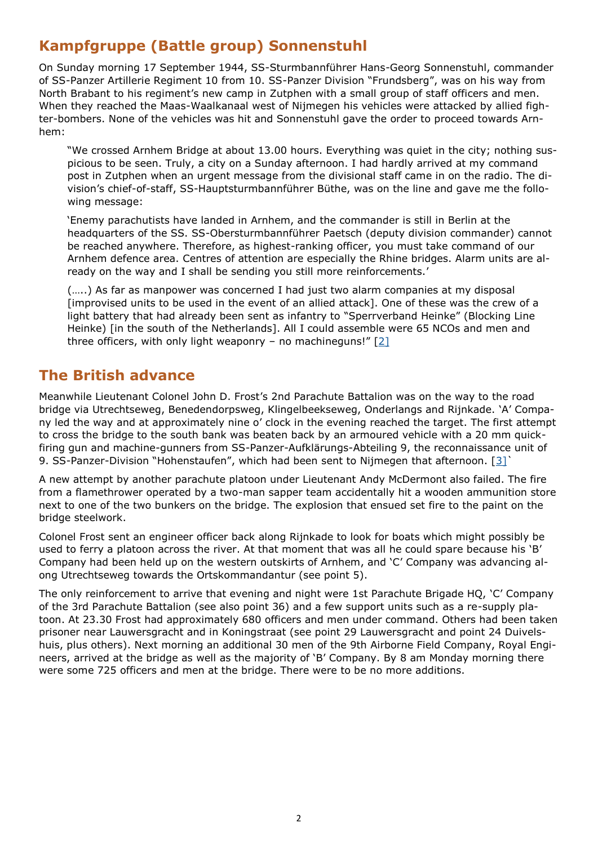# <span id="page-1-0"></span>**Kampfgruppe (Battle group) Sonnenstuhl**

On Sunday morning 17 September 1944, SS-Sturmbannführer Hans-Georg Sonnenstuhl, commander of SS-Panzer Artillerie Regiment 10 from 10. SS-Panzer Division "Frundsberg", was on his way from North Brabant to his regiment's new camp in Zutphen with a small group of staff officers and men. When they reached the Maas-Waalkanaal west of Nijmegen his vehicles were attacked by allied fighter-bombers. None of the vehicles was hit and Sonnenstuhl gave the order to proceed towards Arnhem:

"We crossed Arnhem Bridge at about 13.00 hours. Everything was quiet in the city; nothing suspicious to be seen. Truly, a city on a Sunday afternoon. I had hardly arrived at my command post in Zutphen when an urgent message from the divisional staff came in on the radio. The division's chief-of-staff, SS-Hauptsturmbannführer Büthe, was on the line and gave me the following message:

'Enemy parachutists have landed in Arnhem, and the commander is still in Berlin at the headquarters of the SS. SS-Obersturmbannführer Paetsch (deputy division commander) cannot be reached anywhere. Therefore, as highest-ranking officer, you must take command of our Arnhem defence area. Centres of attention are especially the Rhine bridges. Alarm units are already on the way and I shall be sending you still more reinforcements.'

(…..) As far as manpower was concerned I had just two alarm companies at my disposal [improvised units to be used in the event of an allied attack]. One of these was the crew of a light battery that had already been sent as infantry to "Sperrverband Heinke" (Blocking Line Heinke) [in the south of the Netherlands]. All I could assemble were 65 NCOs and men and three officers, with only light weaponry - no machineguns!"  $[2]$  $[2]$ 

#### **The British advance**

Meanwhile Lieutenant Colonel John D. Frost's 2nd Parachute Battalion was on the way to the road bridge via Utrechtseweg, Benedendorpsweg, Klingelbeekseweg, Onderlangs and Rijnkade. 'A' Company led the way and at approximately nine o' clock in the evening reached the target. The first attempt to cross the bridge to the south bank was beaten back by an armoured vehicle with a 20 mm quickfiring gun and machine-gunners from SS-Panzer-Aufklärungs-Abteiling 9, the reconnaissance unit of 9. SS-Panzer-Division "Hohenstaufen", which had been sent to Nijmegen that afternoon. [[3\]`](#page-8-0)

A new attempt by another parachute platoon under Lieutenant Andy McDermont also failed. The fire from a flamethrower operated by a two-man sapper team accidentally hit a wooden ammunition store next to one of the two bunkers on the bridge. The explosion that ensued set fire to the paint on the bridge steelwork.

Colonel Frost sent an engineer officer back along Rijnkade to look for boats which might possibly be used to ferry a platoon across the river. At that moment that was all he could spare because his 'B' Company had been held up on the western outskirts of Arnhem, and 'C' Company was advancing along Utrechtseweg towards the Ortskommandantur (see point 5).

The only reinforcement to arrive that evening and night were 1st Parachute Brigade HQ, 'C' Company of the 3rd Parachute Battalion (see also point 36) and a few support units such as a re-supply platoon. At 23.30 Frost had approximately 680 officers and men under command. Others had been taken prisoner near Lauwersgracht and in Koningstraat (see point 29 Lauwersgracht and point 24 Duivelshuis, plus others). Next morning an additional 30 men of the 9th Airborne Field Company, Royal Engineers, arrived at the bridge as well as the majority of 'B' Company. By 8 am Monday morning there were some 725 officers and men at the bridge. There were to be no more additions.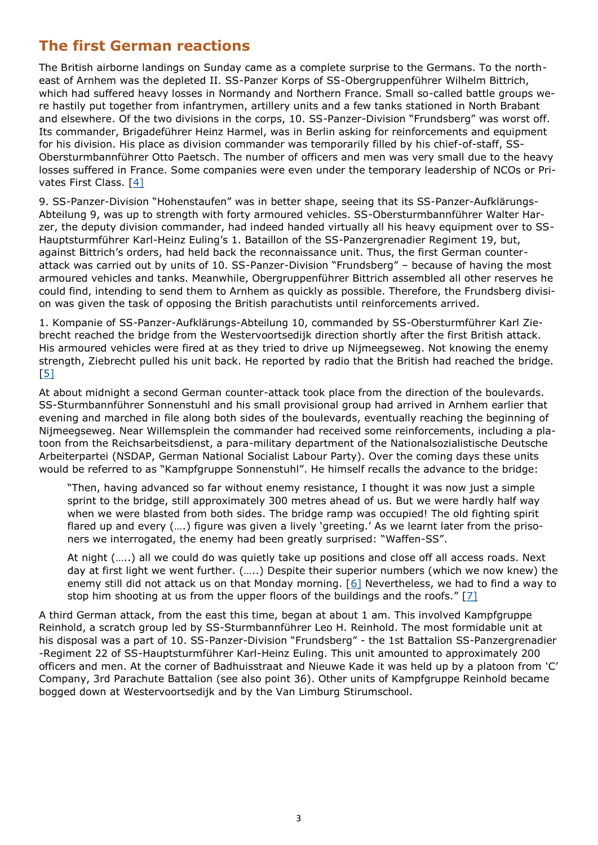# <span id="page-2-0"></span>**The first German reactions**

The British airborne landings on Sunday came as a complete surprise to the Germans. To the northeast of Arnhem was the depleted II. SS-Panzer Korps of SS-Obergruppenführer Wilhelm Bittrich, which had suffered heavy losses in Normandy and Northern France. Small so-called battle groups were hastily put together from infantrymen, artillery units and a few tanks stationed in North Brabant and elsewhere. Of the two divisions in the corps, 10. SS-Panzer-Division "Frundsberg" was worst off. Its commander, Brigadeführer Heinz Harmel, was in Berlin asking for reinforcements and equipment for his division. His place as division commander was temporarily filled by his chief-of-staff, SS-Obersturmbannführer Otto Paetsch. The number of officers and men was very small due to the heavy losses suffered in France. Some companies were even under the temporary leadership of NCOs or Privates First Class. [\[4\]](#page-8-0)

9. SS-Panzer-Division "Hohenstaufen" was in better shape, seeing that its SS-Panzer-Aufklärungs-Abteilung 9, was up to strength with forty armoured vehicles. SS-Obersturmbannführer Walter Harzer, the deputy division commander, had indeed handed virtually all his heavy equipment over to SS-Hauptsturmführer Karl-Heinz Euling's 1. Bataillon of the SS-Panzergrenadier Regiment 19, but, against Bittrich's orders, had held back the reconnaissance unit. Thus, the first German counterattack was carried out by units of 10. SS-Panzer-Division "Frundsberg" – because of having the most armoured vehicles and tanks. Meanwhile, Obergruppenführer Bittrich assembled all other reserves he could find, intending to send them to Arnhem as quickly as possible. Therefore, the Frundsberg division was given the task of opposing the British parachutists until reinforcements arrived.

1. Kompanie of SS-Panzer-Aufklärungs-Abteilung 10, commanded by SS-Obersturmführer Karl Ziebrecht reached the bridge from the Westervoortsedijk direction shortly after the first British attack. His armoured vehicles were fired at as they tried to drive up Nijmeegseweg. Not knowing the enemy strength, Ziebrecht pulled his unit back. He reported by radio that the British had reached the bridge. [\[5\]](#page-8-0)

At about midnight a second German counter-attack took place from the direction of the boulevards. SS-Sturmbannführer Sonnenstuhl and his small provisional group had arrived in Arnhem earlier that evening and marched in file along both sides of the boulevards, eventually reaching the beginning of Nijmeegseweg. Near Willemsplein the commander had received some reinforcements, including a platoon from the Reichsarbeitsdienst, a para-military department of the Nationalsozialistische Deutsche Arbeiterpartei (NSDAP, German National Socialist Labour Party). Over the coming days these units would be referred to as "Kampfgruppe Sonnenstuhl". He himself recalls the advance to the bridge:

"Then, having advanced so far without enemy resistance, I thought it was now just a simple sprint to the bridge, still approximately 300 metres ahead of us. But we were hardly half way when we were blasted from both sides. The bridge ramp was occupied! The old fighting spirit flared up and every (….) figure was given a lively 'greeting.' As we learnt later from the prisoners we interrogated, the enemy had been greatly surprised: "Waffen-SS".

At night (…..) all we could do was quietly take up positions and close off all access roads. Next day at first light we went further. (…..) Despite their superior numbers (which we now knew) the enemy still did not attack us on that Monday morning. [[6\]](#page-8-0) Nevertheless, we had to find a way to stop him shooting at us from the upper floors of the buildings and the roofs."  $[7]$  $[7]$ 

A third German attack, from the east this time, began at about 1 am. This involved Kampfgruppe Reinhold, a scratch group led by SS-Sturmbannführer Leo H. Reinhold. The most formidable unit at his disposal was a part of 10. SS-Panzer-Division "Frundsberg" - the 1st Battalion SS-Panzergrenadier -Regiment 22 of SS-Hauptsturmführer Karl-Heinz Euling. This unit amounted to approximately 200 officers and men. At the corner of Badhuisstraat and Nieuwe Kade it was held up by a platoon from 'C' Company, 3rd Parachute Battalion (see also point 36). Other units of Kampfgruppe Reinhold became bogged down at Westervoortsedijk and by the Van Limburg Stirumschool.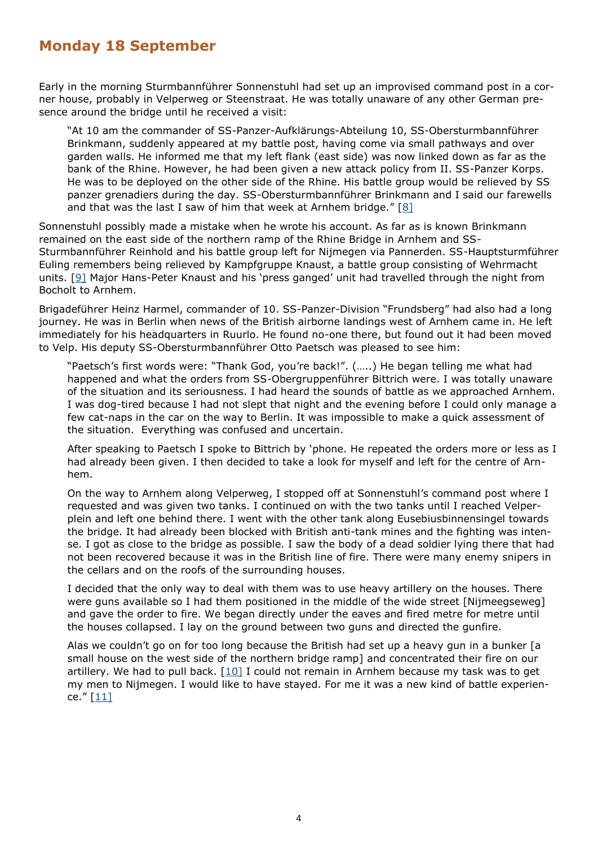#### <span id="page-3-0"></span>**Monday 18 September**

Early in the morning Sturmbannführer Sonnenstuhl had set up an improvised command post in a corner house, probably in Velperweg or Steenstraat. He was totally unaware of any other German presence around the bridge until he received a visit:

"At 10 am the commander of SS-Panzer-Aufklärungs-Abteilung 10, SS-Obersturmbannführer Brinkmann, suddenly appeared at my battle post, having come via small pathways and over garden walls. He informed me that my left flank (east side) was now linked down as far as the bank of the Rhine. However, he had been given a new attack policy from II. SS-Panzer Korps. He was to be deployed on the other side of the Rhine. His battle group would be relieved by SS panzer grenadiers during the day. SS-Obersturmbannführer Brinkmann and I said our farewells and that was the last I saw of him that week at Arnhem bridge." [[8\]](#page-8-0)

Sonnenstuhl possibly made a mistake when he wrote his account. As far as is known Brinkmann remained on the east side of the northern ramp of the Rhine Bridge in Arnhem and SS-Sturmbannführer Reinhold and his battle group left for Nijmegen via Pannerden. SS-Hauptsturmführer Euling remembers being relieved by Kampfgruppe Knaust, a battle group consisting of Wehrmacht units. [[9\]](#page-8-0) Major Hans-Peter Knaust and his 'press ganged' unit had travelled through the night from Bocholt to Arnhem.

Brigadeführer Heinz Harmel, commander of 10. SS-Panzer-Division "Frundsberg" had also had a long journey. He was in Berlin when news of the British airborne landings west of Arnhem came in. He left immediately for his headquarters in Ruurlo. He found no-one there, but found out it had been moved to Velp. His deputy SS-Obersturmbannführer Otto Paetsch was pleased to see him:

"Paetsch's first words were: "Thank God, you're back!". (…..) He began telling me what had happened and what the orders from SS-Obergruppenführer Bittrich were. I was totally unaware of the situation and its seriousness. I had heard the sounds of battle as we approached Arnhem. I was dog-tired because I had not slept that night and the evening before I could only manage a few cat-naps in the car on the way to Berlin. It was impossible to make a quick assessment of the situation. Everything was confused and uncertain.

After speaking to Paetsch I spoke to Bittrich by 'phone. He repeated the orders more or less as I had already been given. I then decided to take a look for myself and left for the centre of Arnhem.

On the way to Arnhem along Velperweg, I stopped off at Sonnenstuhl's command post where I requested and was given two tanks. I continued on with the two tanks until I reached Velperplein and left one behind there. I went with the other tank along Eusebiusbinnensingel towards the bridge. It had already been blocked with British anti-tank mines and the fighting was intense. I got as close to the bridge as possible. I saw the body of a dead soldier lying there that had not been recovered because it was in the British line of fire. There were many enemy snipers in the cellars and on the roofs of the surrounding houses.

I decided that the only way to deal with them was to use heavy artillery on the houses. There were guns available so I had them positioned in the middle of the wide street [Nijmeegseweg] and gave the order to fire. We began directly under the eaves and fired metre for metre until the houses collapsed. I lay on the ground between two guns and directed the gunfire.

Alas we couldn't go on for too long because the British had set up a heavy gun in a bunker [a small house on the west side of the northern bridge ramp] and concentrated their fire on our artillery. We had to pull back.  $[10]$  I could not remain in Arnhem because my task was to get my men to Nijmegen. I would like to have stayed. For me it was a new kind of battle experience."  $[11]$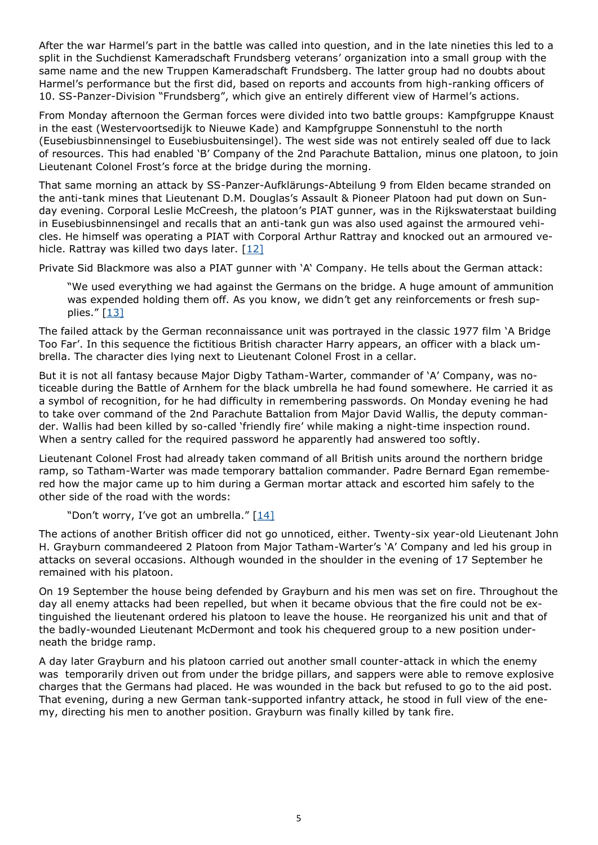After the war Harmel's part in the battle was called into question, and in the late nineties this led to a split in the Suchdienst Kameradschaft Frundsberg veterans' organization into a small group with the same name and the new Truppen Kameradschaft Frundsberg. The latter group had no doubts about Harmel's performance but the first did, based on reports and accounts from high-ranking officers of 10. SS-Panzer-Division "Frundsberg", which give an entirely different view of Harmel's actions.

From Monday afternoon the German forces were divided into two battle groups: Kampfgruppe Knaust in the east (Westervoortsedijk to Nieuwe Kade) and Kampfgruppe Sonnenstuhl to the north (Eusebiusbinnensingel to Eusebiusbuitensingel). The west side was not entirely sealed off due to lack of resources. This had enabled 'B' Company of the 2nd Parachute Battalion, minus one platoon, to join Lieutenant Colonel Frost's force at the bridge during the morning.

That same morning an attack by SS-Panzer-Aufklärungs-Abteilung 9 from Elden became stranded on the anti-tank mines that Lieutenant D.M. Douglas's Assault & Pioneer Platoon had put down on Sunday evening. Corporal Leslie McCreesh, the platoon's PIAT gunner, was in the Rijkswaterstaat building in Eusebiusbinnensingel and recalls that an anti-tank gun was also used against the armoured vehicles. He himself was operating a PIAT with Corporal Arthur Rattray and knocked out an armoured ve-hicle. Rattray was killed two days later. [\[12\]](#page-8-0)

Private Sid Blackmore was also a PIAT gunner with 'A' Company. He tells about the German attack:

"We used everything we had against the Germans on the bridge. A huge amount of ammunition was expended holding them off. As you know, we didn't get any reinforcements or fresh supplies."  $[13]$ 

The failed attack by the German reconnaissance unit was portrayed in the classic 1977 film 'A Bridge Too Far'. In this sequence the fictitious British character Harry appears, an officer with a black umbrella. The character dies lying next to Lieutenant Colonel Frost in a cellar.

But it is not all fantasy because Major Digby Tatham-Warter, commander of 'A' Company, was noticeable during the Battle of Arnhem for the black umbrella he had found somewhere. He carried it as a symbol of recognition, for he had difficulty in remembering passwords. On Monday evening he had to take over command of the 2nd Parachute Battalion from Major David Wallis, the deputy commander. Wallis had been killed by so-called 'friendly fire' while making a night-time inspection round. When a sentry called for the required password he apparently had answered too softly.

Lieutenant Colonel Frost had already taken command of all British units around the northern bridge ramp, so Tatham-Warter was made temporary battalion commander. Padre Bernard Egan remembered how the major came up to him during a German mortar attack and escorted him safely to the other side of the road with the words:

"Don't worry, I've got an umbrella." [\[14\]](#page-8-0)

The actions of another British officer did not go unnoticed, either. Twenty-six year-old Lieutenant John H. Grayburn commandeered 2 Platoon from Major Tatham-Warter's 'A' Company and led his group in attacks on several occasions. Although wounded in the shoulder in the evening of 17 September he remained with his platoon.

On 19 September the house being defended by Grayburn and his men was set on fire. Throughout the day all enemy attacks had been repelled, but when it became obvious that the fire could not be extinguished the lieutenant ordered his platoon to leave the house. He reorganized his unit and that of the badly-wounded Lieutenant McDermont and took his chequered group to a new position underneath the bridge ramp.

A day later Grayburn and his platoon carried out another small counter-attack in which the enemy was temporarily driven out from under the bridge pillars, and sappers were able to remove explosive charges that the Germans had placed. He was wounded in the back but refused to go to the aid post. That evening, during a new German tank-supported infantry attack, he stood in full view of the enemy, directing his men to another position. Grayburn was finally killed by tank fire.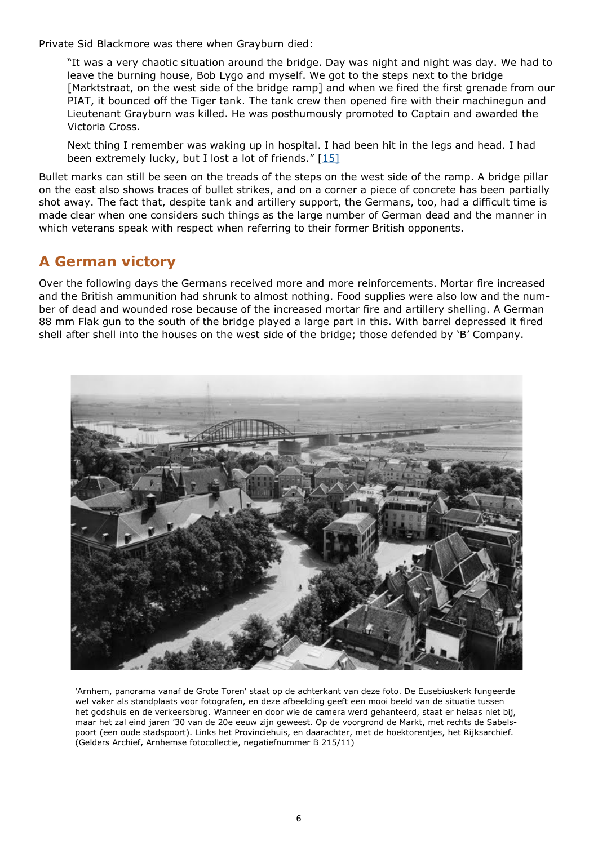<span id="page-5-0"></span>Private Sid Blackmore was there when Grayburn died:

"It was a very chaotic situation around the bridge. Day was night and night was day. We had to leave the burning house, Bob Lygo and myself. We got to the steps next to the bridge [Marktstraat, on the west side of the bridge ramp] and when we fired the first grenade from our PIAT, it bounced off the Tiger tank. The tank crew then opened fire with their machinegun and Lieutenant Grayburn was killed. He was posthumously promoted to Captain and awarded the Victoria Cross.

Next thing I remember was waking up in hospital. I had been hit in the legs and head. I had been extremely lucky, but I lost a lot of friends."  $[15]$  $[15]$ 

Bullet marks can still be seen on the treads of the steps on the west side of the ramp. A bridge pillar on the east also shows traces of bullet strikes, and on a corner a piece of concrete has been partially shot away. The fact that, despite tank and artillery support, the Germans, too, had a difficult time is made clear when one considers such things as the large number of German dead and the manner in which veterans speak with respect when referring to their former British opponents.

### **A German victory**

Over the following days the Germans received more and more reinforcements. Mortar fire increased and the British ammunition had shrunk to almost nothing. Food supplies were also low and the number of dead and wounded rose because of the increased mortar fire and artillery shelling. A German 88 mm Flak gun to the south of the bridge played a large part in this. With barrel depressed it fired shell after shell into the houses on the west side of the bridge; those defended by 'B' Company.



'Arnhem, panorama vanaf de Grote Toren' staat op de achterkant van deze foto. De Eusebiuskerk fungeerde wel vaker als standplaats voor fotografen, en deze afbeelding geeft een mooi beeld van de situatie tussen het godshuis en de verkeersbrug. Wanneer en door wie de camera werd gehanteerd, staat er helaas niet bij, maar het zal eind jaren '30 van de 20e eeuw zijn geweest. Op de voorgrond de Markt, met rechts de Sabelspoort (een oude stadspoort). Links het Provinciehuis, en daarachter, met de hoektorentjes, het Rijksarchief. (Gelders Archief, Arnhemse fotocollectie, negatiefnummer B 215/11)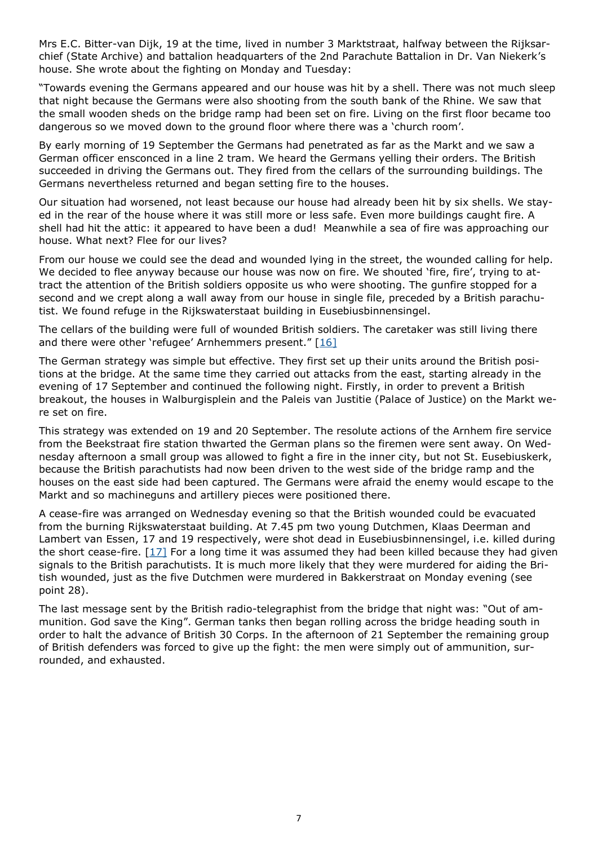Mrs E.C. Bitter-van Dijk, 19 at the time, lived in number 3 Marktstraat, halfway between the Rijksarchief (State Archive) and battalion headquarters of the 2nd Parachute Battalion in Dr. Van Niekerk's house. She wrote about the fighting on Monday and Tuesday:

"Towards evening the Germans appeared and our house was hit by a shell. There was not much sleep that night because the Germans were also shooting from the south bank of the Rhine. We saw that the small wooden sheds on the bridge ramp had been set on fire. Living on the first floor became too dangerous so we moved down to the ground floor where there was a 'church room'.

By early morning of 19 September the Germans had penetrated as far as the Markt and we saw a German officer ensconced in a line 2 tram. We heard the Germans yelling their orders. The British succeeded in driving the Germans out. They fired from the cellars of the surrounding buildings. The Germans nevertheless returned and began setting fire to the houses.

Our situation had worsened, not least because our house had already been hit by six shells. We stayed in the rear of the house where it was still more or less safe. Even more buildings caught fire. A shell had hit the attic: it appeared to have been a dud! Meanwhile a sea of fire was approaching our house. What next? Flee for our lives?

From our house we could see the dead and wounded lying in the street, the wounded calling for help. We decided to flee anyway because our house was now on fire. We shouted 'fire, fire', trying to attract the attention of the British soldiers opposite us who were shooting. The gunfire stopped for a second and we crept along a wall away from our house in single file, preceded by a British parachutist. We found refuge in the Rijkswaterstaat building in Eusebiusbinnensingel.

The cellars of the building were full of wounded British soldiers. The caretaker was still living there and there were other 'refugee' Arnhemmers present."  $[16]$ 

The German strategy was simple but effective. They first set up their units around the British positions at the bridge. At the same time they carried out attacks from the east, starting already in the evening of 17 September and continued the following night. Firstly, in order to prevent a British breakout, the houses in Walburgisplein and the Paleis van Justitie (Palace of Justice) on the Markt were set on fire.

This strategy was extended on 19 and 20 September. The resolute actions of the Arnhem fire service from the Beekstraat fire station thwarted the German plans so the firemen were sent away. On Wednesday afternoon a small group was allowed to fight a fire in the inner city, but not St. Eusebiuskerk, because the British parachutists had now been driven to the west side of the bridge ramp and the houses on the east side had been captured. The Germans were afraid the enemy would escape to the Markt and so machineguns and artillery pieces were positioned there.

A cease-fire was arranged on Wednesday evening so that the British wounded could be evacuated from the burning Rijkswaterstaat building. At 7.45 pm two young Dutchmen, Klaas Deerman and Lambert van Essen, 17 and 19 respectively, were shot dead in Eusebiusbinnensingel, i.e. killed during the short cease-fire.  $[17]$  $[17]$  For a long time it was assumed they had been killed because they had given signals to the British parachutists. It is much more likely that they were murdered for aiding the British wounded, just as the five Dutchmen were murdered in Bakkerstraat on Monday evening (see point 28).

The last message sent by the British radio-telegraphist from the bridge that night was: "Out of ammunition. God save the King". German tanks then began rolling across the bridge heading south in order to halt the advance of British 30 Corps. In the afternoon of 21 September the remaining group of British defenders was forced to give up the fight: the men were simply out of ammunition, surrounded, and exhausted.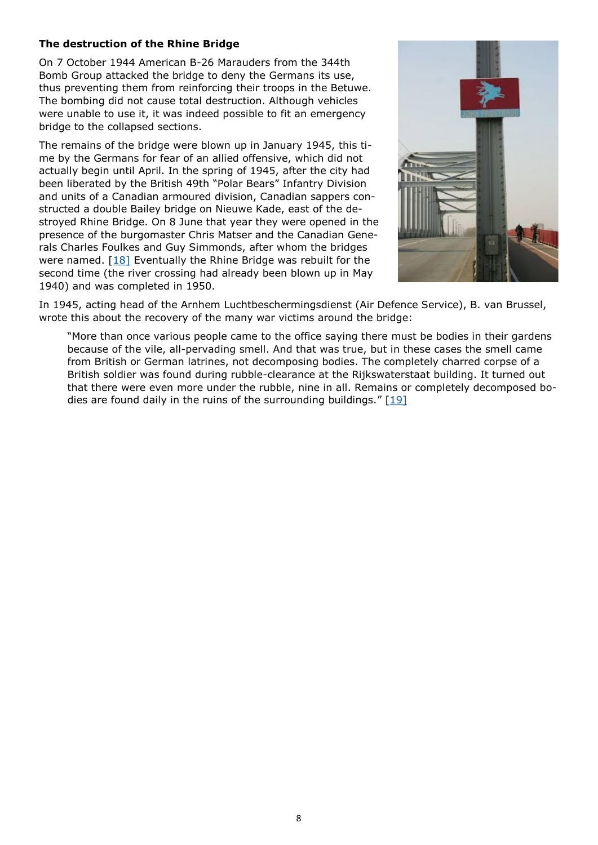#### **The destruction of the Rhine Bridge**

On 7 October 1944 American B-26 Marauders from the 344th Bomb Group attacked the bridge to deny the Germans its use, thus preventing them from reinforcing their troops in the Betuwe. The bombing did not cause total destruction. Although vehicles were unable to use it, it was indeed possible to fit an emergency bridge to the collapsed sections.

The remains of the bridge were blown up in January 1945, this time by the Germans for fear of an allied offensive, which did not actually begin until April. In the spring of 1945, after the city had been liberated by the British 49th "Polar Bears" Infantry Division and units of a Canadian armoured division, Canadian sappers constructed a double Bailey bridge on Nieuwe Kade, east of the destroyed Rhine Bridge. On 8 June that year they were opened in the presence of the burgomaster Chris Matser and the Canadian Generals Charles Foulkes and Guy Simmonds, after whom the bridges were named. [\[18\]](#page-8-0) Eventually the Rhine Bridge was rebuilt for the second time (the river crossing had already been blown up in May 1940) and was completed in 1950.



In 1945, acting head of the Arnhem Luchtbeschermingsdienst (Air Defence Service), B. van Brussel, wrote this about the recovery of the many war victims around the bridge:

"More than once various people came to the office saying there must be bodies in their gardens because of the vile, all-pervading smell. And that was true, but in these cases the smell came from British or German latrines, not decomposing bodies. The completely charred corpse of a British soldier was found during rubble-clearance at the Rijkswaterstaat building. It turned out that there were even more under the rubble, nine in all. Remains or completely decomposed bodies are found daily in the ruins of the surrounding buildings."  $[19]$